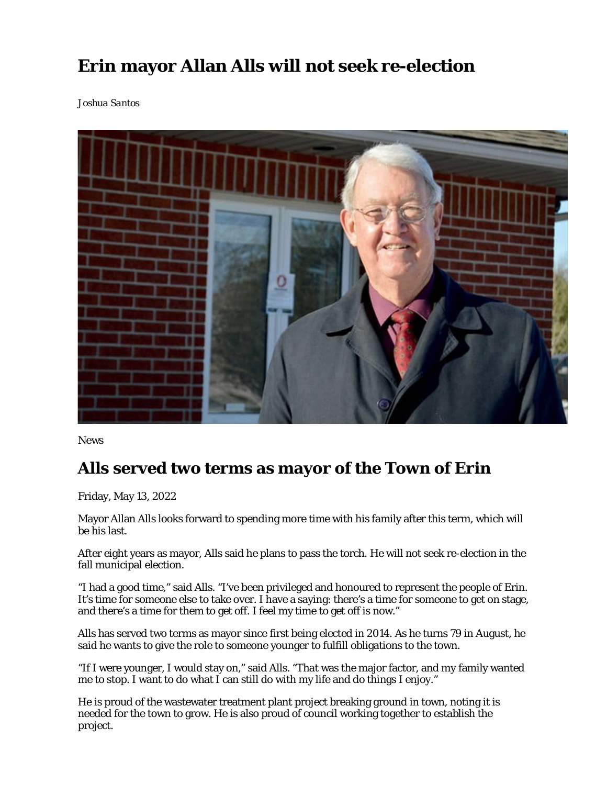## **Erin mayor Allan Alls will not seek re-election**

*Joshua Santos*



News

## **Alls served two terms as mayor of the Town of Erin**

Friday, May 13, 2022

Mayor Allan Alls looks forward to spending more time with his family after this term, which will be his last.

After eight years as mayor, Alls said he plans to pass the torch. He will not seek re-election in the fall municipal election.

"I had a good time," said Alls. "I've been privileged and honoured to represent the people of Erin. It's time for someone else to take over. I have a saying: there's a time for someone to get on stage, and there's a time for them to get off. I feel my time to get off is now."

Alls has served two terms as mayor since first being elected in 2014. As he turns 79 in August, he said he wants to give the role to someone younger to fulfill obligations to the town.

"If I were younger, I would stay on," said Alls. "That was the major factor, and my family wanted me to stop. I want to do what I can still do with my life and do things I enjoy."

He is proud of the wastewater treatment plant project breaking ground in town, noting it is needed for the town to grow. He is also proud of council working together to establish the project.